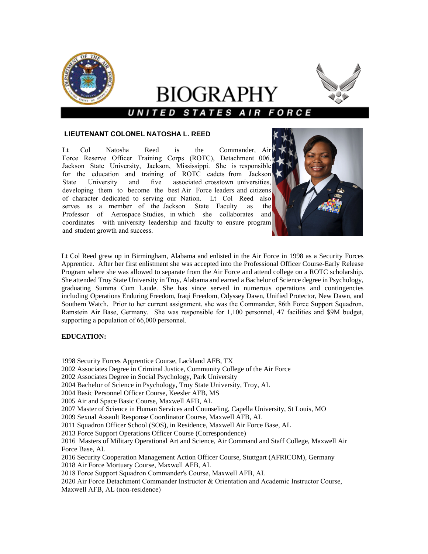

# BIOGRAPHY UNITED STATES A



## **LIEUTENANT COLONEL NATOSHA L. REED**

Lt Col Natosha Reed is the Commander, Air Force Reserve Officer Training Corps (ROTC), Detachment 006, Jackson State University, Jackson, Mississippi. She is responsible for the education and training of ROTC cadets from Jackson State University and five associated crosstown universities, developing them to become the best Air Force leaders and citizens of character dedicated to serving our Nation. Lt Col Reed also serves as a member of the Jackson State Faculty as the Professor of Aerospace Studies, in which she collaborates and coordinates with university leadership and faculty to ensure program and student growth and success.



Lt Col Reed grew up in Birmingham, Alabama and enlisted in the Air Force in 1998 as a Security Forces Apprentice. After her first enlistment she was accepted into the Professional Officer Course-Early Release Program where she was allowed to separate from the Air Force and attend college on a ROTC scholarship. She attended Troy State University in Troy, Alabama and earned a Bachelor of Science degree in Psychology, graduating Summa Cum Laude. She has since served in numerous operations and contingencies including Operations Enduring Freedom, Iraqi Freedom, Odyssey Dawn, Unified Protector, New Dawn, and Southern Watch. Prior to her current assignment, she was the Commander, 86th Force Support Squadron, Ramstein Air Base, Germany. She was responsible for 1,100 personnel, 47 facilities and \$9M budget, supporting a population of 66,000 personnel.

## **EDUCATION:**

- 1998 Security Forces Apprentice Course, Lackland AFB, TX
- 2002 Associates Degree in Criminal Justice, Community College of the Air Force
- 2002 Associates Degree in Social Psychology, Park University
- 2004 Bachelor of Science in Psychology, Troy State University, Troy, AL
- 2004 Basic Personnel Officer Course, Keesler AFB, MS
- 2005 Air and Space Basic Course, Maxwell AFB, AL
- 2007 Master of Science in Human Services and Counseling, Capella University, St Louis, MO
- 2009 Sexual Assault Response Coordinator Course, Maxwell AFB, AL
- 2011 Squadron Officer School (SOS), in Residence, Maxwell Air Force Base, AL
- 2013 Force Support Operations Officer Course (Correspondence)
- 2016 Masters of Military Operational Art and Science, Air Command and Staff College, Maxwell Air Force Base, AL
- 2016 Security Cooperation Management Action Officer Course, Stuttgart (AFRICOM), Germany
- 2018 Air Force Mortuary Course, Maxwell AFB, AL
- 2018 Force Support Squadron Commander's Course, Maxwell AFB, AL
- 2020 Air Force Detachment Commander Instructor & Orientation and Academic Instructor Course, Maxwell AFB, AL (non-residence)